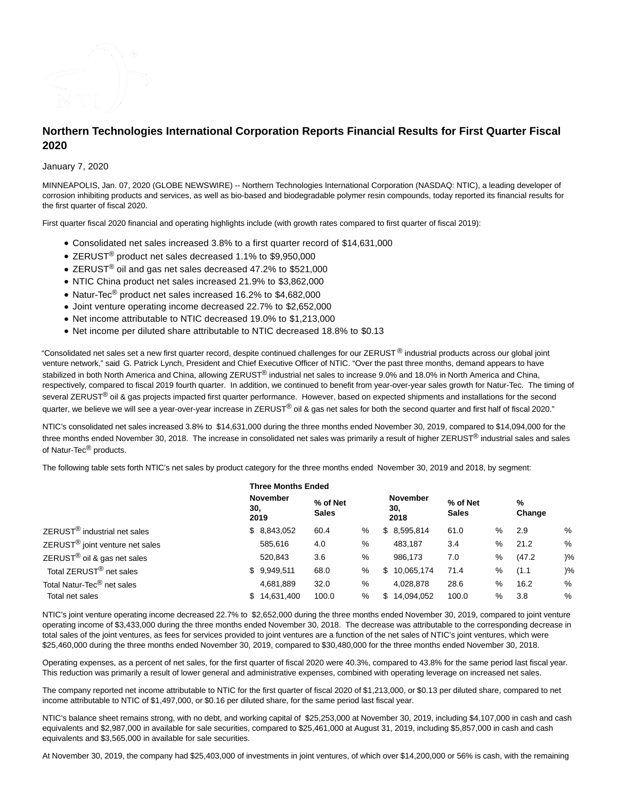

# **Northern Technologies International Corporation Reports Financial Results for First Quarter Fiscal 2020**

January 7, 2020

MINNEAPOLIS, Jan. 07, 2020 (GLOBE NEWSWIRE) -- Northern Technologies International Corporation (NASDAQ: NTIC), a leading developer of corrosion inhibiting products and services, as well as bio-based and biodegradable polymer resin compounds, today reported its financial results for the first quarter of fiscal 2020.

First quarter fiscal 2020 financial and operating highlights include (with growth rates compared to first quarter of fiscal 2019):

- Consolidated net sales increased 3.8% to a first quarter record of \$14,631,000
- ZERUST<sup>®</sup> product net sales decreased 1.1% to \$9,950,000
- ZERUST® oil and gas net sales decreased 47.2% to \$521,000
- NTIC China product net sales increased 21.9% to \$3,862,000
- Natur-Tec<sup>®</sup> product net sales increased 16.2% to \$4,682,000
- Joint venture operating income decreased 22.7% to \$2,652,000
- Net income attributable to NTIC decreased 19.0% to \$1,213,000
- Net income per diluted share attributable to NTIC decreased 18.8% to \$0.13

"Consolidated net sales set a new first quarter record, despite continued challenges for our ZERUST ® industrial products across our global joint venture network," said G. Patrick Lynch, President and Chief Executive Officer of NTIC. "Over the past three months, demand appears to have stabilized in both North America and China, allowing ZERUST<sup>®</sup> industrial net sales to increase 9.0% and 18.0% in North America and China, respectively, compared to fiscal 2019 fourth quarter. In addition, we continued to benefit from year-over-year sales growth for Natur-Tec. The timing of several ZERUST<sup>®</sup> oil & gas projects impacted first quarter performance. However, based on expected shipments and installations for the second quarter, we believe we will see a year-over-year increase in ZERUST® oil & gas net sales for both the second quarter and first half of fiscal 2020."

NTIC's consolidated net sales increased 3.8% to \$14,631,000 during the three months ended November 30, 2019, compared to \$14,094,000 for the three months ended November 30, 2018. The increase in consolidated net sales was primarily a result of higher ZERUST<sup>®</sup> industrial sales and sales of Natur-Tec<sup>®</sup> products.

The following table sets forth NTIC's net sales by product category for the three months ended November 30, 2019 and 2018, by segment:

|                                             | <b>Three Months Ended</b> |                         |                          |   |     |                                |                          |   |             |               |
|---------------------------------------------|---------------------------|-------------------------|--------------------------|---|-----|--------------------------------|--------------------------|---|-------------|---------------|
|                                             | 30,                       | <b>November</b><br>2019 | % of Net<br><b>Sales</b> |   |     | <b>November</b><br>30,<br>2018 | % of Net<br><b>Sales</b> |   | %<br>Change |               |
| ZERUST <sup>®</sup> industrial net sales    |                           | \$8,843,052             | 60.4                     | % |     | \$8,595,814                    | 61.0                     | % | 2.9         | %             |
| ZERUST <sup>®</sup> joint venture net sales |                           | 585,616                 | 4.0                      | % |     | 483,187                        | 3.4                      | % | 21.2        | %             |
| $ZERUST®$ oil & gas net sales               |                           | 520,843                 | 3.6                      | % |     | 986.173                        | 7.0                      | % | (47.2)      | $\frac{9}{6}$ |
| Total ZERUST <sup>®</sup> net sales         |                           | \$9,949,511             | 68.0                     | % | \$  | 10,065,174                     | 71.4                     | % | (1.1)       | $\frac{9}{6}$ |
| Total Natur-Tec <sup>®</sup> net sales      |                           | 4,681,889               | 32.0                     | % |     | 4,028,878                      | 28.6                     | % | 16.2        | %             |
| Total net sales                             | \$                        | 14,631,400              | 100.0                    | % | \$. | 14,094,052                     | 100.0                    | % | 3.8         | %             |

NTIC's joint venture operating income decreased 22.7% to \$2,652,000 during the three months ended November 30, 2019, compared to joint venture operating income of \$3,433,000 during the three months ended November 30, 2018. The decrease was attributable to the corresponding decrease in total sales of the joint ventures, as fees for services provided to joint ventures are a function of the net sales of NTIC's joint ventures, which were \$25,460,000 during the three months ended November 30, 2019, compared to \$30,480,000 for the three months ended November 30, 2018.

Operating expenses, as a percent of net sales, for the first quarter of fiscal 2020 were 40.3%, compared to 43.8% for the same period last fiscal year. This reduction was primarily a result of lower general and administrative expenses, combined with operating leverage on increased net sales.

The company reported net income attributable to NTIC for the first quarter of fiscal 2020 of \$1,213,000, or \$0.13 per diluted share, compared to net income attributable to NTIC of \$1,497,000, or \$0.16 per diluted share, for the same period last fiscal year.

NTIC's balance sheet remains strong, with no debt, and working capital of \$25,253,000 at November 30, 2019, including \$4,107,000 in cash and cash equivalents and \$2,987,000 in available for sale securities, compared to \$25,461,000 at August 31, 2019, including \$5,857,000 in cash and cash equivalents and \$3,565,000 in available for sale securities.

At November 30, 2019, the company had \$25,403,000 of investments in joint ventures, of which over \$14,200,000 or 56% is cash, with the remaining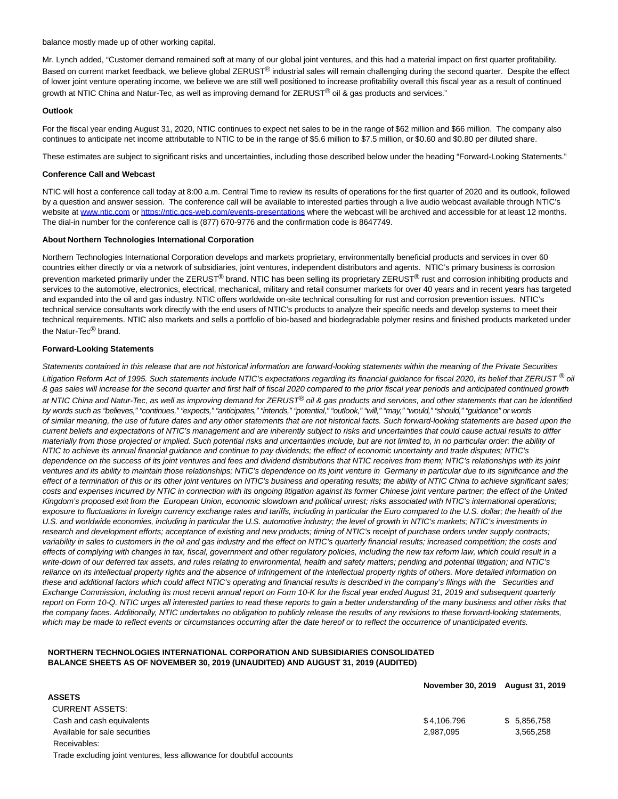balance mostly made up of other working capital.

Mr. Lynch added, "Customer demand remained soft at many of our global joint ventures, and this had a material impact on first quarter profitability. Based on current market feedback, we believe global ZERUST® industrial sales will remain challenging during the second quarter. Despite the effect of lower joint venture operating income, we believe we are still well positioned to increase profitability overall this fiscal year as a result of continued growth at NTIC China and Natur-Tec, as well as improving demand for ZERUST<sup>®</sup> oil & gas products and services."

## **Outlook**

For the fiscal year ending August 31, 2020, NTIC continues to expect net sales to be in the range of \$62 million and \$66 million. The company also continues to anticipate net income attributable to NTIC to be in the range of \$5.6 million to \$7.5 million, or \$0.60 and \$0.80 per diluted share.

These estimates are subject to significant risks and uncertainties, including those described below under the heading "Forward-Looking Statements."

## **Conference Call and Webcast**

NTIC will host a conference call today at 8:00 a.m. Central Time to review its results of operations for the first quarter of 2020 and its outlook, followed by a question and answer session. The conference call will be available to interested parties through a live audio webcast available through NTIC's website at [www.ntic.com o](http://www.ntic.com/)r [https://ntic.gcs-web.com/events-presentations w](https://ntic.gcs-web.com/events-presentations)here the webcast will be archived and accessible for at least 12 months. The dial-in number for the conference call is (877) 670-9776 and the confirmation code is 8647749.

## **About Northern Technologies International Corporation**

Northern Technologies International Corporation develops and markets proprietary, environmentally beneficial products and services in over 60 countries either directly or via a network of subsidiaries, joint ventures, independent distributors and agents. NTIC's primary business is corrosion prevention marketed primarily under the ZERUST® brand. NTIC has been selling its proprietary ZERUST® rust and corrosion inhibiting products and services to the automotive, electronics, electrical, mechanical, military and retail consumer markets for over 40 years and in recent years has targeted and expanded into the oil and gas industry. NTIC offers worldwide on-site technical consulting for rust and corrosion prevention issues. NTIC's technical service consultants work directly with the end users of NTIC's products to analyze their specific needs and develop systems to meet their technical requirements. NTIC also markets and sells a portfolio of bio-based and biodegradable polymer resins and finished products marketed under the Natur-Tec<sup>®</sup> brand.

## **Forward-Looking Statements**

**ASSETS**

Statements contained in this release that are not historical information are forward-looking statements within the meaning of the Private Securities Litigation Reform Act of 1995. Such statements include NTIC's expectations regarding its financial guidance for fiscal 2020, its belief that ZERUST ® oil & gas sales will increase for the second quarter and first half of fiscal 2020 compared to the prior fiscal year periods and anticipated continued growth at NTIC China and Natur-Tec, as well as improving demand for ZERUST® oil & gas products and services, and other statements that can be identified by words such as "believes," "continues," "expects," "anticipates," "intends," "potential," "outlook," "will," "may," "would," "should," "guidance" or words of similar meaning, the use of future dates and any other statements that are not historical facts. Such forward-looking statements are based upon the current beliefs and expectations of NTIC's management and are inherently subject to risks and uncertainties that could cause actual results to differ materially from those projected or implied. Such potential risks and uncertainties include, but are not limited to, in no particular order: the ability of NTIC to achieve its annual financial guidance and continue to pay dividends; the effect of economic uncertainty and trade disputes; NTIC's dependence on the success of its joint ventures and fees and dividend distributions that NTIC receives from them; NTIC's relationships with its joint ventures and its ability to maintain those relationships; NTIC's dependence on its joint venture in Germany in particular due to its significance and the effect of a termination of this or its other joint ventures on NTIC's business and operating results; the ability of NTIC China to achieve significant sales; costs and expenses incurred by NTIC in connection with its ongoing litigation against its former Chinese joint venture partner; the effect of the United Kingdom's proposed exit from the European Union, economic slowdown and political unrest; risks associated with NTIC's international operations; exposure to fluctuations in foreign currency exchange rates and tariffs, including in particular the Euro compared to the U.S. dollar; the health of the U.S. and worldwide economies, including in particular the U.S. automotive industry; the level of growth in NTIC's markets; NTIC's investments in research and development efforts; acceptance of existing and new products; timing of NTIC's receipt of purchase orders under supply contracts; variability in sales to customers in the oil and gas industry and the effect on NTIC's quarterly financial results; increased competition; the costs and effects of complying with changes in tax, fiscal, government and other regulatory policies, including the new tax reform law, which could result in a write-down of our deferred tax assets, and rules relating to environmental, health and safety matters; pending and potential litigation; and NTIC's reliance on its intellectual property rights and the absence of infringement of the intellectual property rights of others. More detailed information on these and additional factors which could affect NTIC's operating and financial results is described in the company's filings with the Securities and Exchange Commission, including its most recent annual report on Form 10-K for the fiscal year ended August 31, 2019 and subsequent quarterly report on Form 10-Q. NTIC urges all interested parties to read these reports to gain a better understanding of the many business and other risks that the company faces. Additionally, NTIC undertakes no obligation to publicly release the results of any revisions to these forward-looking statements, which may be made to reflect events or circumstances occurring after the date hereof or to reflect the occurrence of unanticipated events.

## **NORTHERN TECHNOLOGIES INTERNATIONAL CORPORATION AND SUBSIDIARIES CONSOLIDATED BALANCE SHEETS AS OF NOVEMBER 30, 2019 (UNAUDITED) AND AUGUST 31, 2019 (AUDITED)**

## **November 30, 2019 August 31, 2019**

| .                             |             |              |
|-------------------------------|-------------|--------------|
| CURRENT ASSETS:               |             |              |
| Cash and cash equivalents     | \$4.106.796 | \$ 5.856.758 |
| Available for sale securities | 2,987,095   | 3,565,258    |
| Receivables:                  |             |              |

Trade excluding joint ventures, less allowance for doubtful accounts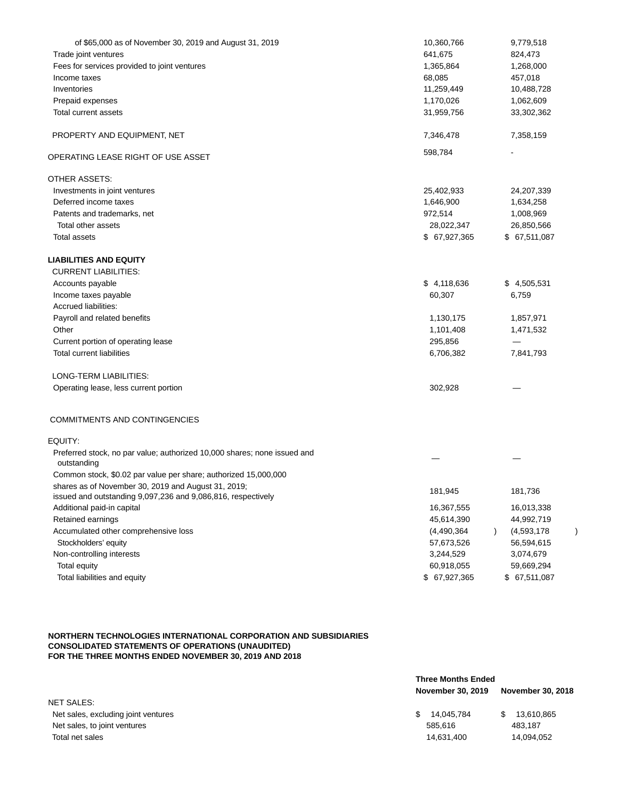| of \$65,000 as of November 30, 2019 and August 31, 2019                                                             | 10,360,766    | 9,779,518                           |
|---------------------------------------------------------------------------------------------------------------------|---------------|-------------------------------------|
| Trade joint ventures                                                                                                | 641,675       | 824,473                             |
| Fees for services provided to joint ventures                                                                        | 1,365,864     | 1,268,000                           |
| Income taxes                                                                                                        | 68,085        | 457,018                             |
| Inventories                                                                                                         | 11,259,449    | 10,488,728                          |
| Prepaid expenses                                                                                                    | 1,170,026     | 1,062,609                           |
| Total current assets                                                                                                | 31,959,756    | 33,302,362                          |
| PROPERTY AND EQUIPMENT, NET                                                                                         | 7,346,478     | 7,358,159                           |
| OPERATING LEASE RIGHT OF USE ASSET                                                                                  | 598,784       |                                     |
| OTHER ASSETS:                                                                                                       |               |                                     |
| Investments in joint ventures                                                                                       | 25,402,933    | 24,207,339                          |
| Deferred income taxes                                                                                               | 1,646,900     | 1,634,258                           |
| Patents and trademarks, net                                                                                         | 972,514       | 1,008,969                           |
| Total other assets                                                                                                  | 28,022,347    | 26,850,566                          |
| Total assets                                                                                                        | \$ 67,927,365 | \$ 67,511,087                       |
| <b>LIABILITIES AND EQUITY</b>                                                                                       |               |                                     |
| <b>CURRENT LIABILITIES:</b>                                                                                         |               |                                     |
| Accounts payable                                                                                                    | \$4,118,636   | \$4,505,531                         |
| Income taxes payable                                                                                                | 60,307        | 6,759                               |
| Accrued liabilities:                                                                                                |               |                                     |
| Payroll and related benefits                                                                                        | 1,130,175     | 1,857,971                           |
| Other                                                                                                               | 1,101,408     | 1,471,532                           |
| Current portion of operating lease                                                                                  | 295,856       |                                     |
| <b>Total current liabilities</b>                                                                                    | 6,706,382     | 7,841,793                           |
| LONG-TERM LIABILITIES:                                                                                              |               |                                     |
| Operating lease, less current portion                                                                               | 302,928       |                                     |
| COMMITMENTS AND CONTINGENCIES                                                                                       |               |                                     |
| EQUITY:                                                                                                             |               |                                     |
| Preferred stock, no par value; authorized 10,000 shares; none issued and<br>outstanding                             |               |                                     |
| Common stock, \$0.02 par value per share; authorized 15,000,000                                                     |               |                                     |
| shares as of November 30, 2019 and August 31, 2019;<br>issued and outstanding 9,097,236 and 9,086,816, respectively | 181,945       | 181,736                             |
| Additional paid-in capital                                                                                          | 16,367,555    | 16,013,338                          |
| Retained earnings                                                                                                   | 45,614,390    | 44,992,719                          |
| Accumulated other comprehensive loss                                                                                | (4,490,364)   | (4,593,178)<br>$\lambda$<br>$\big)$ |
| Stockholders' equity                                                                                                | 57,673,526    | 56,594,615                          |
| Non-controlling interests                                                                                           | 3,244,529     | 3,074,679                           |
| <b>Total equity</b>                                                                                                 | 60,918,055    | 59,669,294                          |
| Total liabilities and equity                                                                                        | \$ 67,927,365 | \$ 67,511,087                       |
|                                                                                                                     |               |                                     |

## **NORTHERN TECHNOLOGIES INTERNATIONAL CORPORATION AND SUBSIDIARIES CONSOLIDATED STATEMENTS OF OPERATIONS (UNAUDITED) FOR THE THREE MONTHS ENDED NOVEMBER 30, 2019 AND 2018**

| <b>November 30, 2018</b> |
|--------------------------|
|                          |
| 13,610,865               |
|                          |
| 14,094,052               |
|                          |